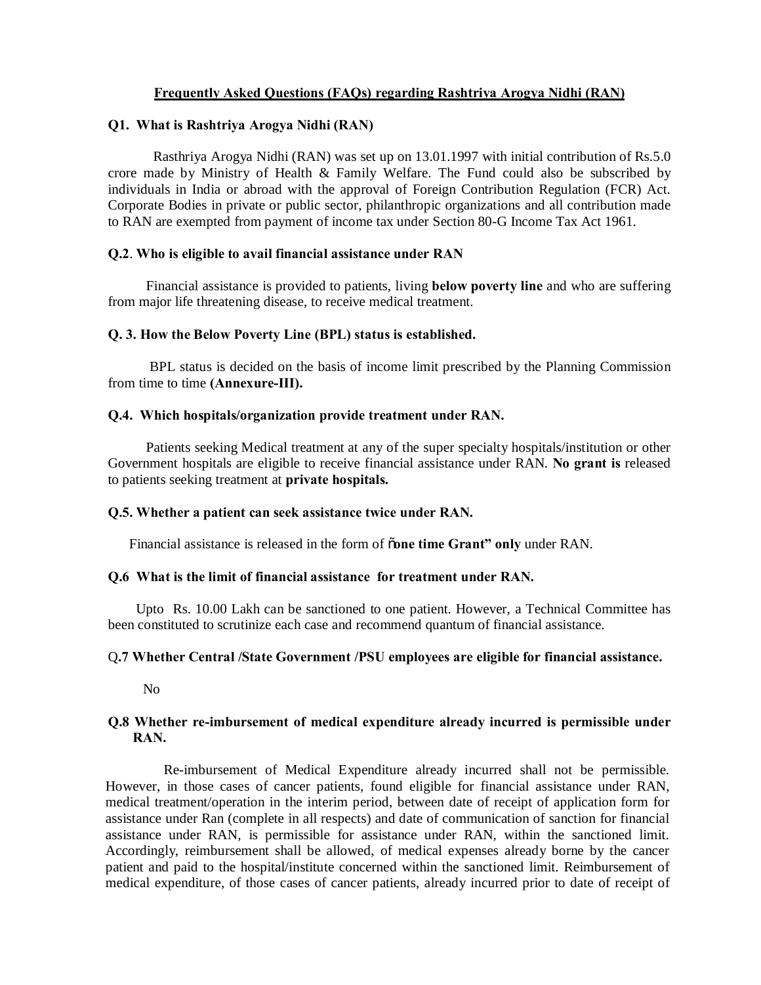# **Frequently Asked Questions (FAQs) regarding Rashtriya Arogya Nidhi (RAN)**

## **Q1. What is Rashtriya Arogya Nidhi (RAN)**

 Rasthriya Arogya Nidhi (RAN) was set up on 13.01.1997 with initial contribution of Rs.5.0 crore made by Ministry of Health & Family Welfare. The Fund could also be subscribed by individuals in India or abroad with the approval of Foreign Contribution Regulation (FCR) Act. Corporate Bodies in private or public sector, philanthropic organizations and all contribution made to RAN are exempted from payment of income tax under Section 80-G Income Tax Act 1961.

## **Q.2**. **Who is eligible to avail financial assistance under RAN**

 Financial assistance is provided to patients, living **below poverty line** and who are suffering from major life threatening disease, to receive medical treatment.

## **Q. 3. How the Below Poverty Line (BPL) status is established.**

 BPL status is decided on the basis of income limit prescribed by the Planning Commission from time to time **(Annexure-III).**

## **Q.4. Which hospitals/organization provide treatment under RAN.**

 Patients seeking Medical treatment at any of the super specialty hospitals/institution or other Government hospitals are eligible to receive financial assistance under RAN. **No grant is** released to patients seeking treatment at **private hospitals.**

## **Q.5. Whether a patient can seek assistance twice under RAN.**

Financial assistance is released in the form of "**one time Grant" only** under RAN.

## **Q.6 What is the limit of financial assistance for treatment under RAN.**

 Upto Rs. 10.00 Lakh can be sanctioned to one patient. However, a Technical Committee has been constituted to scrutinize each case and recommend quantum of financial assistance.

# Q**.7 Whether Central /State Government /PSU employees are eligible for financial assistance.**

No

# **Q.8 Whether re-imbursement of medical expenditure already incurred is permissible under RAN.**

Re-imbursement of Medical Expenditure already incurred shall not be permissible. However, in those cases of cancer patients, found eligible for financial assistance under RAN, medical treatment/operation in the interim period, between date of receipt of application form for assistance under Ran (complete in all respects) and date of communication of sanction for financial assistance under RAN, is permissible for assistance under RAN, within the sanctioned limit. Accordingly, reimbursement shall be allowed, of medical expenses already borne by the cancer patient and paid to the hospital/institute concerned within the sanctioned limit. Reimbursement of medical expenditure, of those cases of cancer patients, already incurred prior to date of receipt of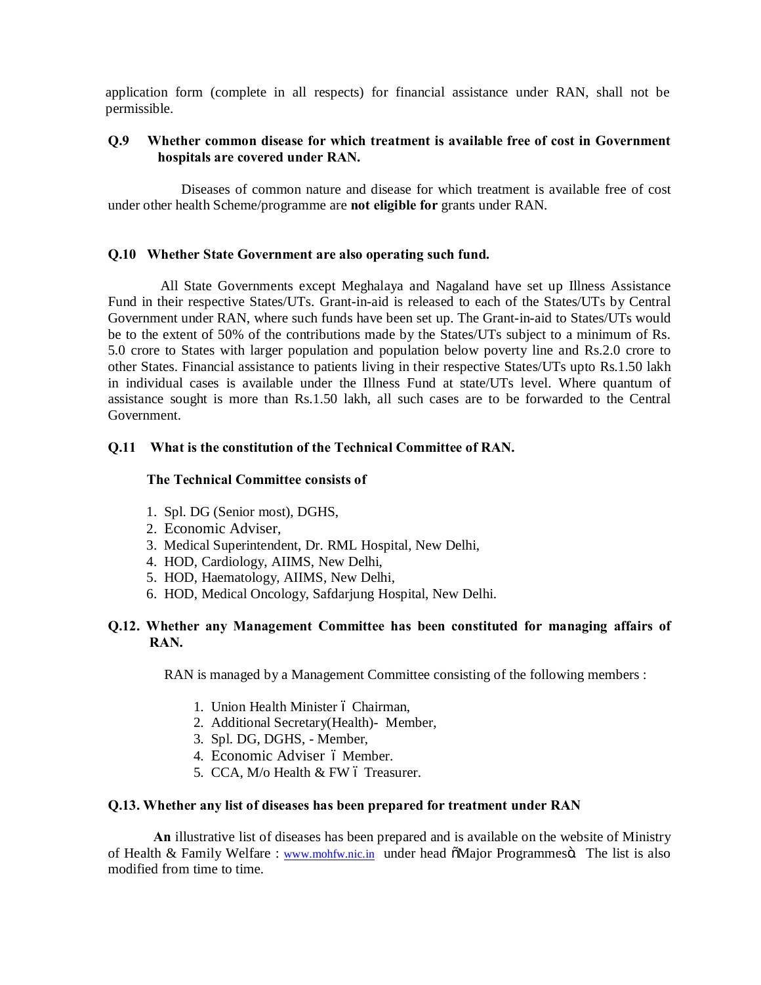application form (complete in all respects) for financial assistance under RAN, shall not be permissible.

# **Q.9 Whether common disease for which treatment is available free of cost in Government hospitals are covered under RAN.**

Diseases of common nature and disease for which treatment is available free of cost under other health Scheme/programme are **not eligible for** grants under RAN.

### **Q.10 Whether State Government are also operating such fund.**

 All State Governments except Meghalaya and Nagaland have set up Illness Assistance Fund in their respective States/UTs. Grant-in-aid is released to each of the States/UTs by Central Government under RAN, where such funds have been set up. The Grant-in-aid to States/UTs would be to the extent of 50% of the contributions made by the States/UTs subject to a minimum of Rs. 5.0 crore to States with larger population and population below poverty line and Rs.2.0 crore to other States. Financial assistance to patients living in their respective States/UTs upto Rs.1.50 lakh in individual cases is available under the Illness Fund at state/UTs level. Where quantum of assistance sought is more than Rs.1.50 lakh, all such cases are to be forwarded to the Central Government.

## **Q.11 What is the constitution of the Technical Committee of RAN.**

### **The Technical Committee consists of**

- 1. Spl. DG (Senior most), DGHS,
- 2. Economic Adviser,
- 3. Medical Superintendent, Dr. RML Hospital, New Delhi,
- 4. HOD, Cardiology, AIIMS, New Delhi,
- 5. HOD, Haematology, AIIMS, New Delhi,
- 6. HOD, Medical Oncology, Safdarjung Hospital, New Delhi.

# **Q.12. Whether any Management Committee has been constituted for managing affairs of RAN.**

RAN is managed by a Management Committee consisting of the following members :

- 1. Union Health Minister ó Chairman,
- 2. Additional Secretary(Health)- Member,
- 3. Spl. DG, DGHS, Member,
- 4. Economic Adviser 6 Member.
- 5. CCA, M/o Health & FW 6 Treasurer.

#### **Q.13. Whether any list of diseases has been prepared for treatment under RAN**

 **An** illustrative list of diseases has been prepared and is available on the website of Ministry of Health & Family Welfare : www.mohfw.nic.in under head  $\delta$ Major Programmes $\ddot{o}$ . The list is also modified from time to time.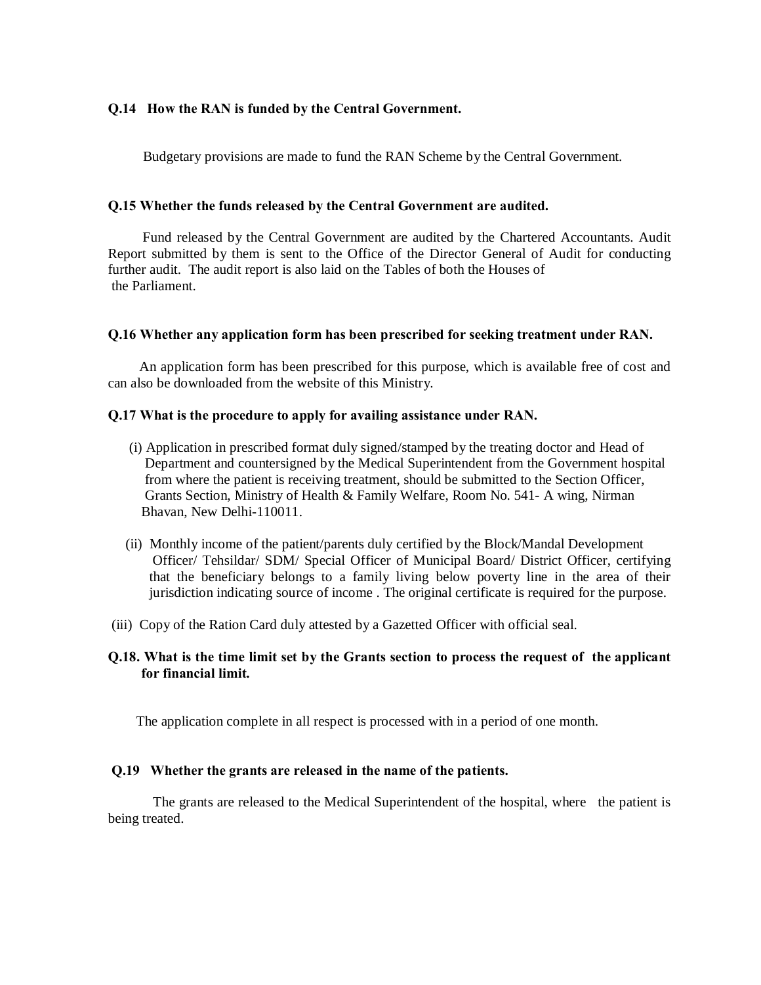# **Q.14 How the RAN is funded by the Central Government.**

Budgetary provisions are made to fund the RAN Scheme by the Central Government.

### **Q.15 Whether the funds released by the Central Government are audited.**

Fund released by the Central Government are audited by the Chartered Accountants. Audit Report submitted by them is sent to the Office of the Director General of Audit for conducting further audit. The audit report is also laid on the Tables of both the Houses of the Parliament.

### **Q.16 Whether any application form has been prescribed for seeking treatment under RAN.**

An application form has been prescribed for this purpose, which is available free of cost and can also be downloaded from the website of this Ministry.

#### **Q.17 What is the procedure to apply for availing assistance under RAN.**

- (i) Application in prescribed format duly signed/stamped by the treating doctor and Head of Department and countersigned by the Medical Superintendent from the Government hospital from where the patient is receiving treatment, should be submitted to the Section Officer, Grants Section, Ministry of Health & Family Welfare, Room No. 541- A wing, Nirman Bhavan, New Delhi-110011.
- (ii) Monthly income of the patient/parents duly certified by the Block/Mandal Development Officer/ Tehsildar/ SDM/ Special Officer of Municipal Board/ District Officer, certifying that the beneficiary belongs to a family living below poverty line in the area of their jurisdiction indicating source of income . The original certificate is required for the purpose.
- (iii) Copy of the Ration Card duly attested by a Gazetted Officer with official seal.

# **Q.18. What is the time limit set by the Grants section to process the request of the applicant for financial limit.**

The application complete in all respect is processed with in a period of one month.

#### **Q.19 Whether the grants are released in the name of the patients.**

 The grants are released to the Medical Superintendent of the hospital, where the patient is being treated.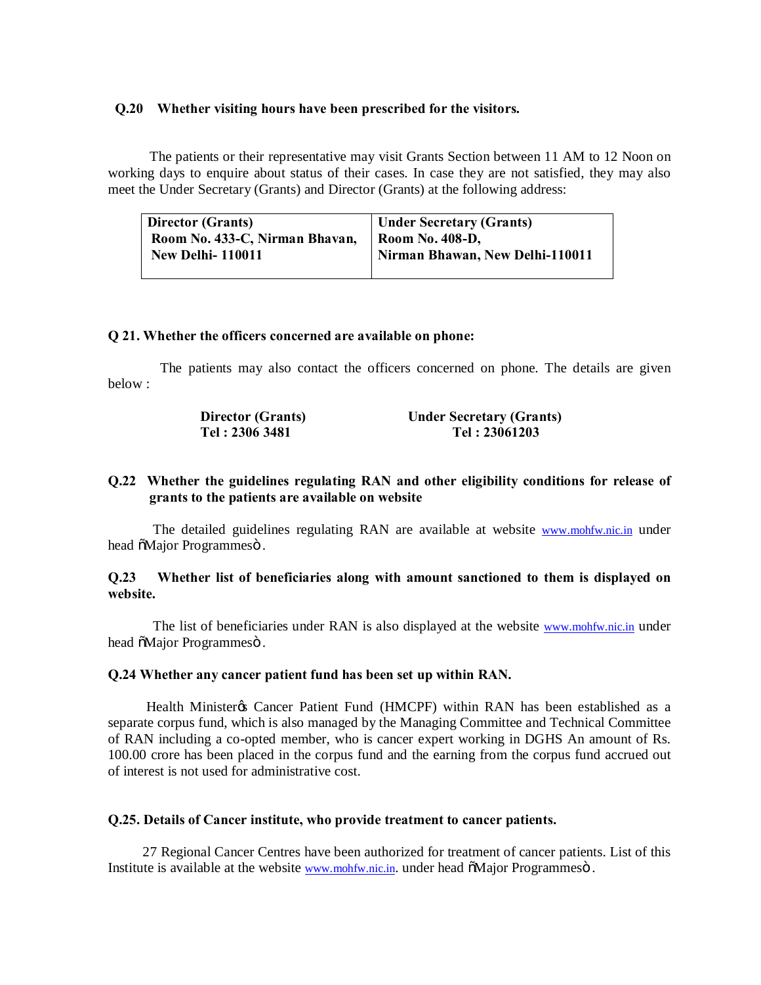### **Q.20 Whether visiting hours have been prescribed for the visitors.**

 The patients or their representative may visit Grants Section between 11 AM to 12 Noon on working days to enquire about status of their cases. In case they are not satisfied, they may also meet the Under Secretary (Grants) and Director (Grants) at the following address:

| <b>Director (Grants)</b>       | Under Secretary (Grants)        |
|--------------------------------|---------------------------------|
| Room No. 433-C, Nirman Bhavan, | Room No. 408-D,                 |
| <b>New Delhi-110011</b>        | Nirman Bhawan, New Delhi-110011 |
|                                |                                 |

## **Q 21. Whether the officers concerned are available on phone:**

 The patients may also contact the officers concerned on phone. The details are given below :

| <b>Director (Grants)</b> | <b>Under Secretary (Grants)</b> |
|--------------------------|---------------------------------|
| Tel : 2306 3481          | Tel: 23061203                   |

# **Q.22 Whether the guidelines regulating RAN and other eligibility conditions for release of grants to the patients are available on website**

The detailed guidelines regulating RAN are available at website www.mohfw.nic.in under head  $\tilde{o}$ Major Programmesö.

## **Q.23 Whether list of beneficiaries along with amount sanctioned to them is displayed on website.**

 The list of beneficiaries under RAN is also displayed at the website www.mohfw.nic.in under head  $\delta$ Major Programmesö.

### **Q.24 Whether any cancer patient fund has been set up within RAN.**

Health Minister's Cancer Patient Fund (HMCPF) within RAN has been established as a separate corpus fund, which is also managed by the Managing Committee and Technical Committee of RAN including a co-opted member, who is cancer expert working in DGHS An amount of Rs. 100.00 crore has been placed in the corpus fund and the earning from the corpus fund accrued out of interest is not used for administrative cost.

#### **Q.25. Details of Cancer institute, who provide treatment to cancer patients.**

27 Regional Cancer Centres have been authorized for treatment of cancer patients. List of this Institute is available at the website www.mohfw.nic.in. under head  $\delta$ Major Programmes $\ddot{o}$ .